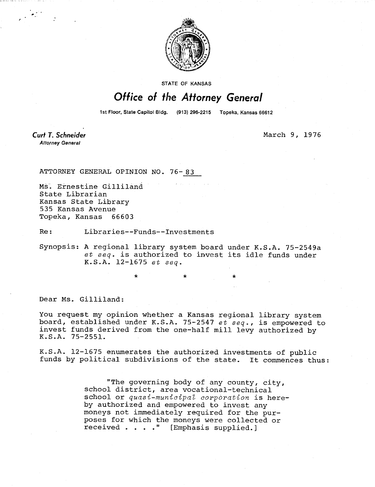

**STATE OF KANSAS** 

## Office of the Attorney General

1st Floor, State Capitol Bldg. (913) 296-2215 Topeka, Kansas 66612

**Curt T. Schneider Attorney General** 

March 9, 1976

ATTORNEY GENERAL OPINION NO. 76-83

Ms. Ernestine Gilliland State Librarian Kansas State Library 535 Kansas Avenue Topeka, Kansas 66603

Re: Libraries--Funds--Investments

\*

Synopsis: A regional library system board under K.S.A. 75-2549a et seq. is authorized to invest its idle funds under K.S.A. 12-1675 et seq.

Dear Ms. Gilliland:

You request my opinion whether a Kansas regional library system board, established under K.S.A. 75-2547 et seq., is empowered to invest funds derived from the one-half mill levy authorized by K.S.A. 75-2551.

K.S.A. 12-1675 enumerates the authorized investments of public funds by political subdivisions of the state. It commences thus:

> "The governing body of any county, city, school district, area vocational-technical school or quasi-municipal corporation is hereby authorized and empowered to invest any moneys not immediately required for the purposes for which the moneys were collected or received . . . ." [Emphasis supplied.]